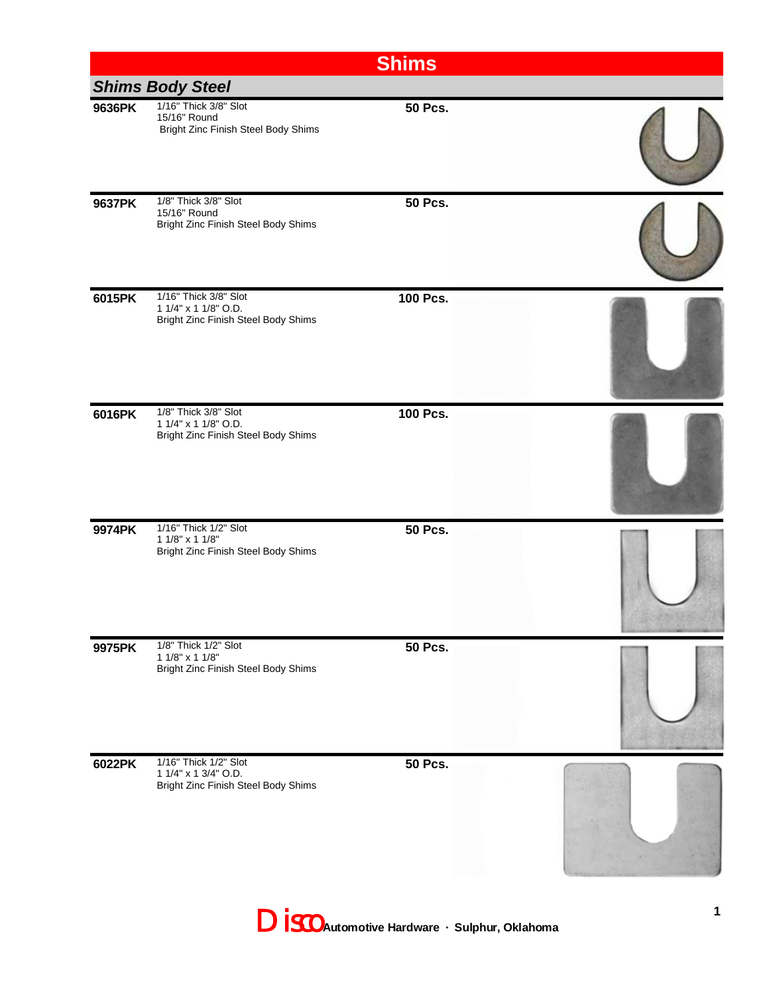|                         |                                                                                      | <b>Shims</b>   |  |  |  |
|-------------------------|--------------------------------------------------------------------------------------|----------------|--|--|--|
| <b>Shims Body Steel</b> |                                                                                      |                |  |  |  |
| 9636PK                  | 1/16" Thick 3/8" Slot<br>15/16" Round<br>Bright Zinc Finish Steel Body Shims         | <b>50 Pcs.</b> |  |  |  |
| 9637PK                  | 1/8" Thick 3/8" Slot<br>15/16" Round<br>Bright Zinc Finish Steel Body Shims          | <b>50 Pcs.</b> |  |  |  |
| 6015PK                  | 1/16" Thick 3/8" Slot<br>1 1/4" x 1 1/8" O.D.<br>Bright Zinc Finish Steel Body Shims | 100 Pcs.       |  |  |  |
| 6016PK                  | 1/8" Thick 3/8" Slot<br>1 1/4" x 1 1/8" O.D.<br>Bright Zinc Finish Steel Body Shims  | 100 Pcs.       |  |  |  |
| 9974PK                  | 1/16" Thick 1/2" Slot<br>$11/8" \times 11/8"$<br>Bright Zinc Finish Steel Body Shims | <b>50 Pcs.</b> |  |  |  |
| 9975PK                  | 1/8" Thick 1/2" Slot<br>1 1/8" x 1 1/8"<br>Bright Zinc Finish Steel Body Shims       | <b>50 Pcs.</b> |  |  |  |
| 6022PK                  | 1/16" Thick 1/2" Slot<br>1 1/4" x 1 3/4" O.D.<br>Bright Zinc Finish Steel Body Shims | <b>50 Pcs.</b> |  |  |  |

Disco **Automotive Hardware · Sulphur, Oklahoma**